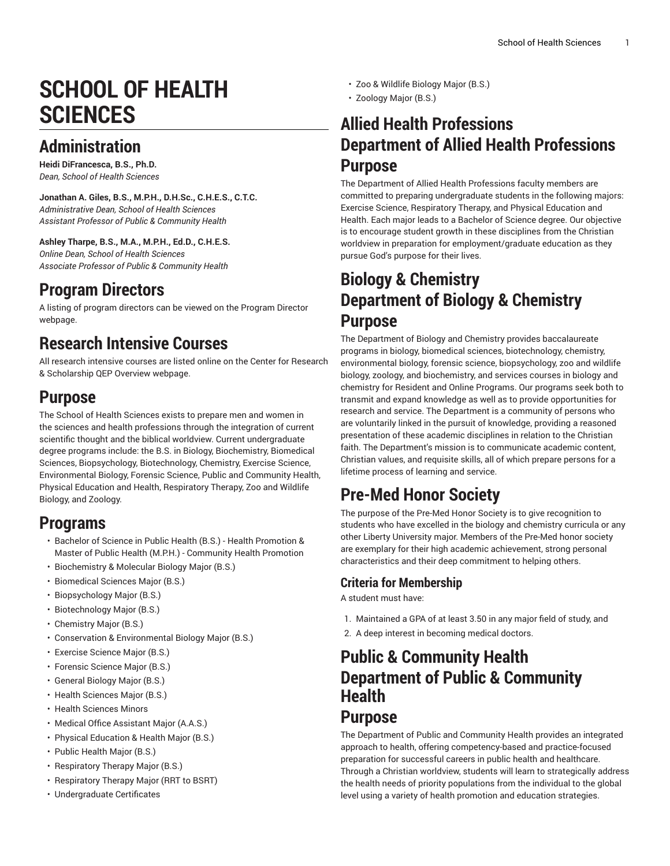# **SCHOOL OF HEALTH SCIENCES**

# **Administration**

**Heidi DiFrancesca, B.S., Ph.D.** *Dean, School of Health Sciences*

**Jonathan A. Giles, B.S., M.P.H., D.H.Sc., C.H.E.S., C.T.C.** *Administrative Dean, School of Health Sciences Assistant Professor of Public & Community Health*

**Ashley Tharpe, B.S., M.A., M.P.H., Ed.D., C.H.E.S.** *Online Dean, School of Health Sciences Associate Professor of Public & Community Health*

#### **Program Directors**

A listing of program directors can be viewed on the [Program](https://www.liberty.edu/institutional-effectiveness/academic-program-directors/) Director webpage.

### **Research Intensive Courses**

All research intensive courses are listed online on the Center for Research & Scholarship QEP [Overview](https://www.liberty.edu/center-for-research-scholarship/qep-overview/) webpage.

### **Purpose**

The [School of Health Sciences](https://www.liberty.edu/health-sciences/) exists to prepare men and women in the sciences and health professions through the integration of current scientific thought and the biblical worldview. Current undergraduate degree programs include: the B.S. in Biology, Biochemistry, Biomedical Sciences, Biopsychology, Biotechnology, Chemistry, Exercise Science, Environmental Biology, Forensic Science, Public and Community Health, Physical Education and Health, Respiratory Therapy, Zoo and Wildlife Biology, and Zoology.

#### **Programs**

- Bachelor of Science in Public Health (B.S.) Health [Promotion](https://catalog.liberty.edu/graduate/colleges-schools/health-sciences/public-health-bs-health-promotion-public-health-mph-community-health-promotion/) & Master of Public Health (M.P.H.) - [Community](https://catalog.liberty.edu/graduate/colleges-schools/health-sciences/public-health-bs-health-promotion-public-health-mph-community-health-promotion/) Health Promotion
- [Biochemistry](https://catalog.liberty.edu/undergraduate/colleges-schools/health-sciences/biochemistry-molecular-biology-major-bs/) & Molecular Biology Major (B.S.)
- [Biomedical Sciences Major \(B.S.\)](https://catalog.liberty.edu/undergraduate/colleges-schools/health-sciences/biomedical-sciences-major-bs/)
- [Biopsychology](https://catalog.liberty.edu/undergraduate/colleges-schools/health-sciences/biopsychology-major-bs/) Major (B.S.)
- [Biotechnology Major \(B.S.\)](https://catalog.liberty.edu/undergraduate/colleges-schools/health-sciences/biotechnology-major-bs/)
- [Chemistry](https://catalog.liberty.edu/undergraduate/colleges-schools/health-sciences/chemistry-major-bs/) Major (B.S.)
- Conservation & [Environmental](https://catalog.liberty.edu/undergraduate/colleges-schools/health-sciences/conservation-environmental-biology-major-bs/) Biology Major (B.S.)
- [Exercise](https://catalog.liberty.edu/undergraduate/colleges-schools/health-sciences/exercise-science-major-bs/) Science Major (B.S.)
- [Forensic](https://catalog.liberty.edu/undergraduate/colleges-schools/health-sciences/forensic-science-major-bs/) Science Major (B.S.)
- [General Biology Major \(B.S.\)](https://catalog.liberty.edu/undergraduate/colleges-schools/health-sciences/general-biology-major-bs/)
- [Health Sciences Major \(B.S.\)](https://catalog.liberty.edu/undergraduate/colleges-schools/health-sciences/health-sciences-major-bs/)
- [Health Sciences Minors](https://catalog.liberty.edu/undergraduate/colleges-schools/health-sciences/minors/)
- [Medical Office Assistant Major \(A.A.S.\)](https://catalog.liberty.edu/undergraduate/colleges-schools/health-sciences/medical-office-assistant-major-aas/)
- Physical [Education](https://catalog.liberty.edu/undergraduate/colleges-schools/health-sciences/physical-education-health-major-bs/) & Health Major (B.S.)
- [Public Health Major \(B.S.\)](https://catalog.liberty.edu/undergraduate/colleges-schools/health-sciences/public-health-major-bs/)
- [Respiratory](https://catalog.liberty.edu/undergraduate/colleges-schools/health-sciences/respiratory-therapy-major-bs/) Therapy Major (B.S.)
- [Respiratory](https://catalog.liberty.edu/undergraduate/colleges-schools/health-sciences/respiratory-therapy-major-rrt-bsrt/) Therapy Major (RRT to BSRT)
- [Undergraduate](https://catalog.liberty.edu/undergraduate/colleges-schools/health-sciences/undergraduate-certificates/) Certificates
- Zoo & Wildlife [Biology](https://catalog.liberty.edu/undergraduate/colleges-schools/health-sciences/zoo-wildlife-biology-major-bs/) Major (B.S.)
- [Zoology](https://catalog.liberty.edu/undergraduate/colleges-schools/health-sciences/zoology-major-bs/) Major (B.S.)

#### **Allied Health Professions Department of Allied Health Professions Purpose**

The Department of Allied Health [Professions](https://www.liberty.edu/health-sciences/allied-health-professions/) faculty members are committed to preparing undergraduate students in the following majors: Exercise Science, Respiratory Therapy, and Physical Education and Health. Each major leads to a Bachelor of Science degree. Our objective is to encourage student growth in these disciplines from the Christian worldview in preparation for employment/graduate education as they pursue God's purpose for their lives.

#### **Biology & Chemistry Department of Biology & Chemistry Purpose**

The [Department](https://www.liberty.edu/health-sciences/biology-chemistry/) of Biology and Chemistry provides baccalaureate programs in biology, biomedical sciences, biotechnology, chemistry, environmental biology, forensic science, biopsychology, zoo and wildlife biology, zoology, and biochemistry, and services courses in biology and chemistry for Resident and Online Programs. Our programs seek both to transmit and expand knowledge as well as to provide opportunities for research and service. The Department is a community of persons who are voluntarily linked in the pursuit of knowledge, providing a reasoned presentation of these academic disciplines in relation to the Christian faith. The Department's mission is to communicate academic content, Christian values, and requisite skills, all of which prepare persons for a lifetime process of learning and service.

# **Pre-Med Honor Society**

The purpose of the [Pre-Med](https://www.liberty.edu/health-sciences/biology-chemistry/pre-medical-honor-society/) Honor Society is to give recognition to students who have excelled in the biology and chemistry curricula or any other Liberty University major. Members of the Pre-Med honor society are exemplary for their high academic achievement, strong personal characteristics and their deep commitment to helping others.

#### **Criteria for Membership**

A student must have:

- 1. Maintained a GPA of at least 3.50 in any major field of study, and
- 2. A deep interest in becoming medical doctors.

#### **Public & Community Health Department of Public & Community Health**

#### **Purpose**

The [Department](https://www.liberty.edu/health-sciences/public-community-health/) of Public and Community Health provides an integrated approach to health, offering competency-based and practice-focused preparation for successful careers in public health and healthcare. Through a Christian worldview, students will learn to strategically address the health needs of priority populations from the individual to the global level using a variety of health promotion and education strategies.